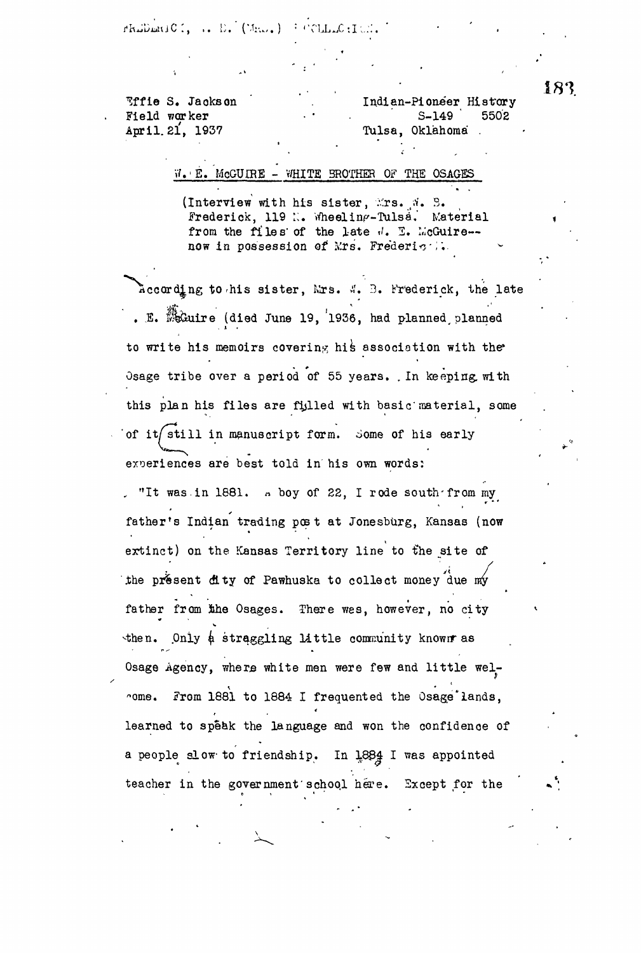rhullmuiC., .. E. (Mas.) : COLLLOILE.

**. . . ' 183** S. Jackson . Indian-Pioneer History<br>Excelent in the California SECO Field worker • • . ' S-149 ' 5502 Tulsa, Oklahoma .

## .'E. McGUIRE - WHITE BROTHER OF THE OSAGES

(Interview with his sister,  $x$ rs.  $x$ . B. frederick, 119 N. Wheeling-Tulsa. Material from the files of the late  $\sqrt{l}$ . I. McGuire-now in possession of Mrs. Frederice...

according to rhis sister, Mrs. A'. B. Frederick, the late . E.  $\mathbb{R}$  Guire (died June 19, 1936, had planned, planned to write his memoirs covering his association with the Osage tribe over a period of 55 years. .In keeping, with this plan his files are filled with basic'material, some of it/still in manuscript form. Some of his early experiences are best told in his own words:

, "It was.in 1881. n boy of 22, I rode south-from my father's Indian trading post at Jonesburg, Kansas (now extinct) on the Kansas Territory line to the site of the present dity of Pawhuska to collect money due my father from the Osages. There wes, however, no city then. Only  $\phi$  straggling little community known as  $\mathcal{L}^{\text{max}}$  straight e community known as  $\mathcal{L}^{\text{max}}$  straight e community known as  $\mathcal{L}^{\text{max}}$  $\mathcal{O}_\mathbf{C}$  and little men were few and little men were few and little men were few and little energy and little men were few and little come. From 1881 to 1884 I frequented the Osage'lands, the Osage'lands, the Osage'lands, the Osage'lands, the Os learned to speak the language and won the confidence of a people slow to friendship. In 1884 I was appointed teacher in the government school here. Except for the

teacher in the government'school here. Except for the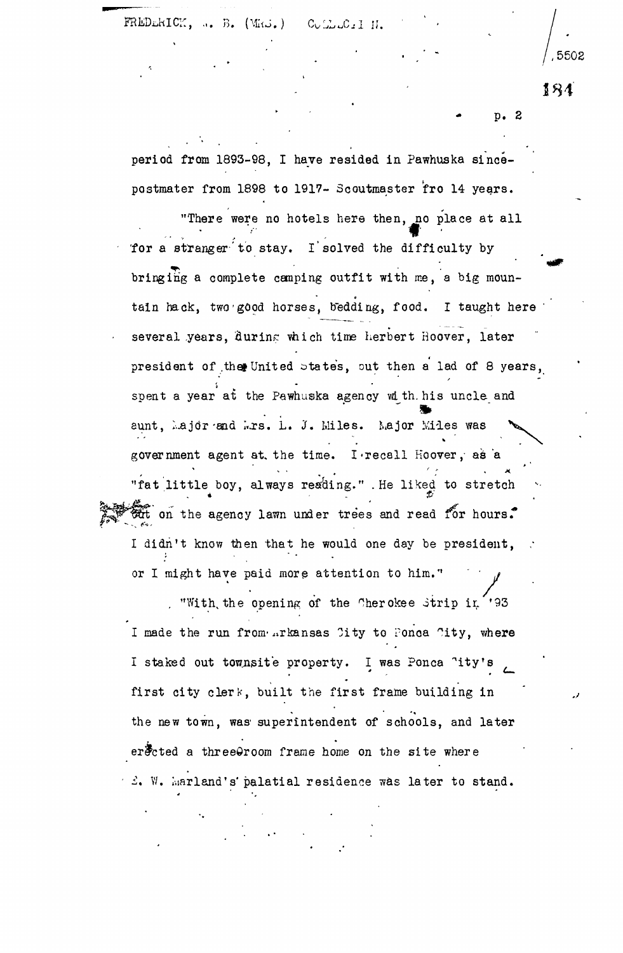FREDERICK, ... B. (MRJ.) CULLLCIII.

 $184$ 

p. 2

',5502

period from 1893-98, I have resided in Pawhuska sincepostmater from 1898 to 1917- Scoutmaster fro 14 years.

"There were no hotels here then, no place at all for a stranger to stay. I solved the difficulty by bringing a complete camping outfit with me, a big mountain hack, two good horses, bedding, food. I taught here several years, during which time herbert Hoover, later several years, filterinr via the Herbert Hoover, later Herbert Hoover, later Hoover, later Hoover, later Hoove president of .that United states, out the states, out then a lad of 8 years, out then a lad of 8 years, out th<br>United states, out the states, out the states, out the states, out the states, out the states, out the states, spent a year at the Pawhuska agency with, his uncle and aunt, I..ajdr -and I..ajdr -and I..ajdr -and I..ajdr -and I..ajdr -and I..ajdr -and I..ajdr -and I..ajdr -and government agent at the time. I recall Hoover, as a "fat little boy, always reading." . He liked to stretch fat on the agency lawn under trees and read for hours. I didn't know then that he would one day be president, or I might have paid more attention to him."

or "With the opening of the Cherokee Strip in '93 I made the run from Arkansas City to Ponca City, where I staked out townsite property. I was Ponca 'ity's first city clerk, built the first frame building in the new town, was superintendent of schools, and later er $\frac{1}{2}$ cted a three $\Theta$ room frame home on the site where  $\mathcal{L}$ . W. Marland's palatial residence was later to stand.

• .£. V/. Garland's'palatial residence was later to stand.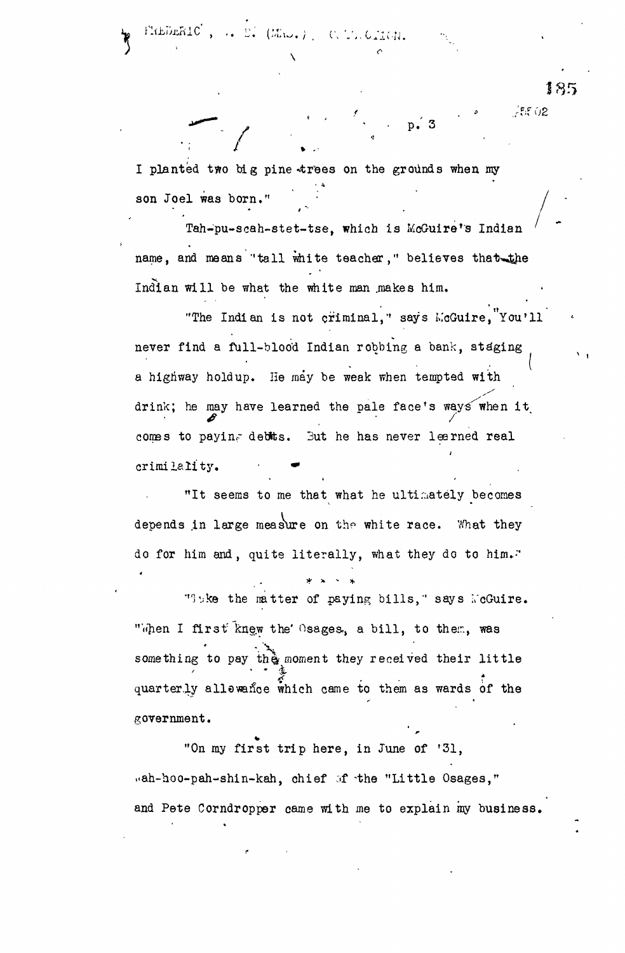I planted two big pine trees on the grounds when my **• 4** son Joel was born."

*"\*~. J> '* ' • P.' 3

rah-pu-scah-stet-tse, which is mouthre's indian name, and means "tall white teacher," believes that the Indian will be what the white man makes him.

"The Indian is not criminal, says McGuire, You'll never find a full-blood Indian robbing a bank, staging a highway holdup. He may be weak when tempted with drink; he may have learned the pale face's ways when it comes to paying debts. But he has never learned real crimilality.

"It seems to me that what he ultimately becomes depends in large measure on the white race. What they do for him and, quite literally, what they do to him."

"Itke the matter of paying bills," says WcGuire. "When I first knew the' Osages, a bill, to them, was -. \ something to pay the moment they received their little quarterly allewance which came to them as wards of the \*• \* government.

"On my first trip here, in June of '31, "ah-hoo-pah-shin-kah, chief of the "Little Osages," and Pete Corndropper came with me to explain my business.

**185**

/ - *»* ./f'fO2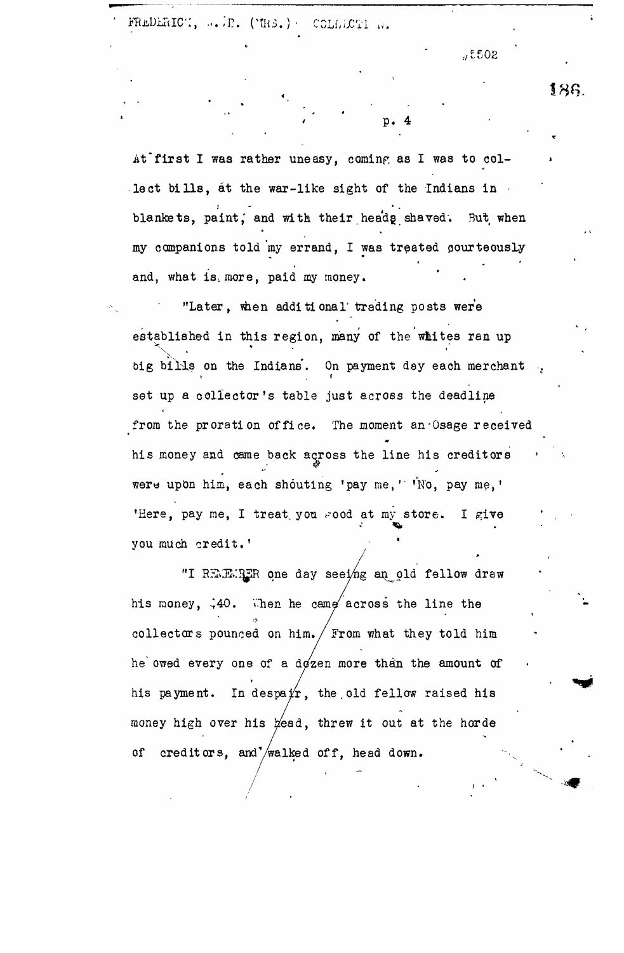FREDERICT, ... B. (MRS.)- COLLECTI N.

..,£502

At first I was rather uneasy, coming as I was to collect bills, at the war-like sight of the Indians in blankets, paint, and with their heads shaved. But when my companions told my errand, I was treated courteously and, what is. more, paid my money.

 $\mathbf{p.4}$ 

"Later, when additional trading posts were established in this region, many of the whites ran up big bills on the Indians. On payment day each merchant bilis on the Indians'. On payment day of the Indians' between the Indians' between the Indians' between the In<br>The Indians' between the Indians' between the Indians' between the Indians' between the Indians' between the I from the proration office. The moment an Osage received from the propagation of  $\mathbf{w}$ his money and came back across the line his creditors were upon him, each shouting 'pay me,' 'No, pay me,' were now me, I treat you yood at my store. I give you much credit.'

"I REMER one day seeing an old fellow draw his money,  $\frac{1}{2}40$ . Then he came across the line the collectors pounced on him.  $/$  From what they told him he owed every one of a dozen more than the amount of his payment. In despa $y'_r$ , the old fellow raised his money high over his read, threw it out at the horde of creditors, and /walked off, head down.

of creditors, and contains the creditors, and  $\alpha$ 

18a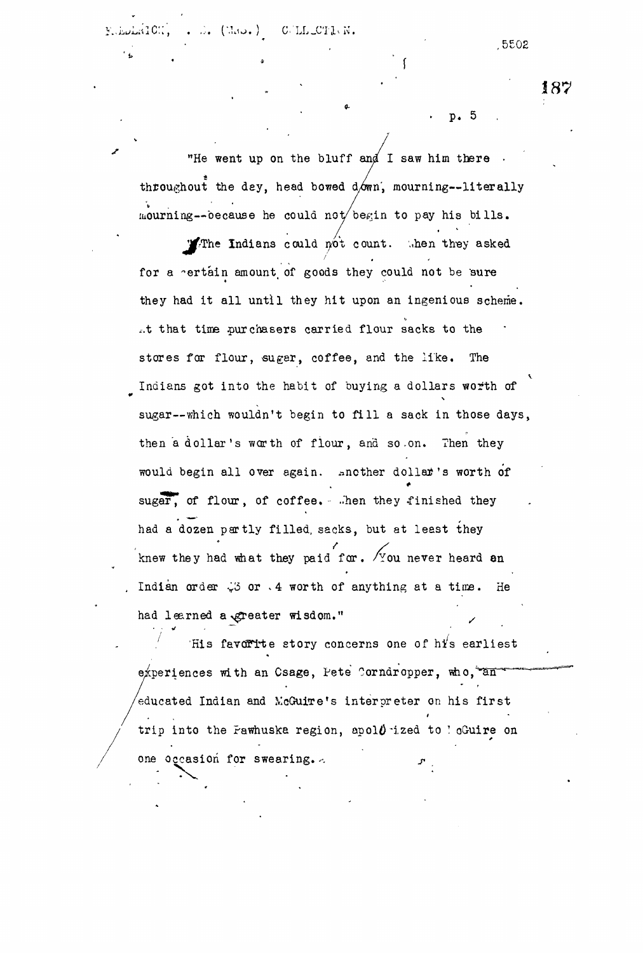WICH.  $\ldots$   $\ldots$  (Mo.) C.LL\_CTI.N.

,5502

187

## p. 5

"He went up on the bluff and I saw him there  $\cdot$ throughout the day, head bowed down, mourning--literally mourning--because he could not begin to pay his bills.

 $\mathbf{Y}$ The Indians could not count. .hen they asked for a rertain amount of goods they could not be sure they had it all until they hit upon an ingenious scheme, ..t that time purchasers carried flour sacks to the stores for flour, sugar, coffee, and the like. The Indians got into the habit of buying a dollars worth of sugar—which wouldn't begin to fill a sack in those days, then a dollar's worth of flour, and so-on. Then they would begin all over again. snother dollar's worth of sugar, of flour, of coffee. . .hen they finished they had a dozen partly filled, sacks, but at least they knew they had what they paid for.  $\sqrt{y}$  ou never heard an Indian order  $\sqrt{3}$  or  $\cdot$  4 worth of anything at a time. He had learned a greater wisdom." */*

His favorite story concerns one of  $h\acute{t}$ s earliest experiences with an Csage, Pete Corndropper, who, an educated Indian and McGuitre's interpreter on his first trip into the Pawhuska region, apol $\theta$  ized to ! oGuire on one occasion for swearing.